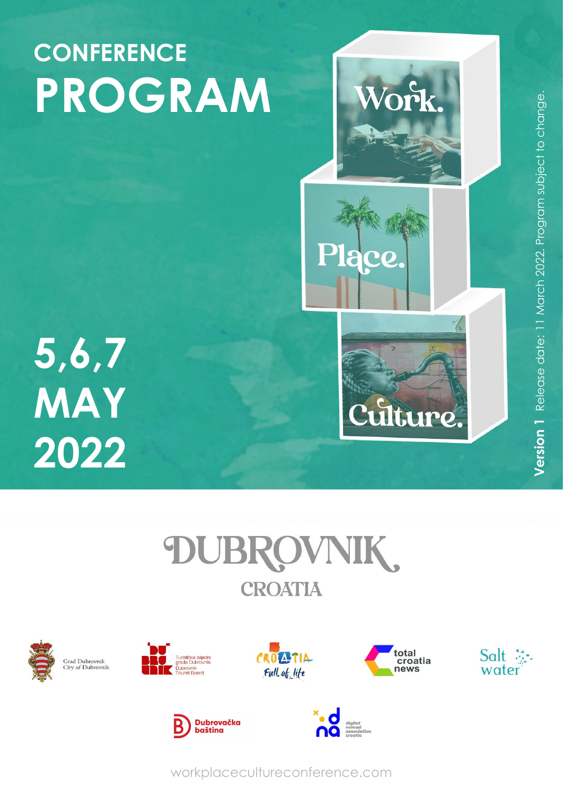

# **5,6,7 MAY 2022**



















workplacecultureconference.com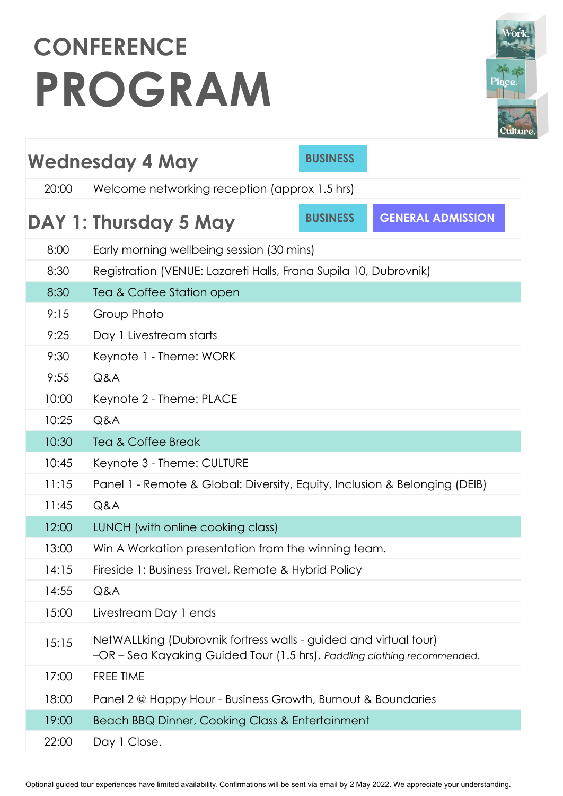| Work.   |
|---------|
| Plące.  |
| Culture |

| <b>BUSINESS</b><br><b>Wednesday 4 May</b>              |                                                                                                                                              |                                                                  |                          |  |  |
|--------------------------------------------------------|----------------------------------------------------------------------------------------------------------------------------------------------|------------------------------------------------------------------|--------------------------|--|--|
| 20:00<br>Welcome networking reception (approx 1.5 hrs) |                                                                                                                                              |                                                                  |                          |  |  |
|                                                        | DAY 1: Thursday 5 May                                                                                                                        | <b>BUSINESS</b>                                                  | <b>GENERAL ADMISSION</b> |  |  |
| 8:00                                                   | Early morning wellbeing session (30 mins)                                                                                                    |                                                                  |                          |  |  |
| 8:30                                                   |                                                                                                                                              | Registration (VENUE: Lazareti Halls, Frana Supila 10, Dubrovnik) |                          |  |  |
| 8:30                                                   | Tea & Coffee Station open                                                                                                                    |                                                                  |                          |  |  |
| 9:15                                                   | Group Photo                                                                                                                                  |                                                                  |                          |  |  |
| 9:25                                                   | Day 1 Livestream starts                                                                                                                      |                                                                  |                          |  |  |
| 9:30                                                   | Keynote 1 - Theme: WORK                                                                                                                      |                                                                  |                          |  |  |
| 9:55                                                   | Q&A                                                                                                                                          |                                                                  |                          |  |  |
| 10:00                                                  | Keynote 2 - Theme: PLACE                                                                                                                     |                                                                  |                          |  |  |
| 10:25                                                  | Q&A                                                                                                                                          |                                                                  |                          |  |  |
| 10:30                                                  | <b>Tea &amp; Coffee Break</b>                                                                                                                |                                                                  |                          |  |  |
| 10:45                                                  | Keynote 3 - Theme: CULTURE                                                                                                                   |                                                                  |                          |  |  |
| 11:15                                                  | Panel 1 - Remote & Global: Diversity, Equity, Inclusion & Belonging (DEIB)                                                                   |                                                                  |                          |  |  |
| 11:45                                                  | Q&A                                                                                                                                          |                                                                  |                          |  |  |
| 12:00                                                  | LUNCH (with online cooking class)                                                                                                            |                                                                  |                          |  |  |
| 13:00                                                  | Win A Workation presentation from the winning team.                                                                                          |                                                                  |                          |  |  |
| 14:15                                                  |                                                                                                                                              | Fireside 1: Business Travel, Remote & Hybrid Policy              |                          |  |  |
| 14:55                                                  | Q&A                                                                                                                                          |                                                                  |                          |  |  |
| 15:00                                                  | Livestream Day 1 ends                                                                                                                        |                                                                  |                          |  |  |
| 15:15                                                  | NetWALLking (Dubrovnik fortress walls - guided and virtual tour)<br>-OR - Sea Kayaking Guided Tour (1.5 hrs). Paddling clothing recommended. |                                                                  |                          |  |  |
| 17:00                                                  | FREE TIME                                                                                                                                    |                                                                  |                          |  |  |
| 18:00                                                  | Panel 2 @ Happy Hour - Business Growth, Burnout & Boundaries                                                                                 |                                                                  |                          |  |  |
| 19:00                                                  | Beach BBQ Dinner, Cooking Class & Entertainment                                                                                              |                                                                  |                          |  |  |
| 22:00                                                  | Day 1 Close.                                                                                                                                 |                                                                  |                          |  |  |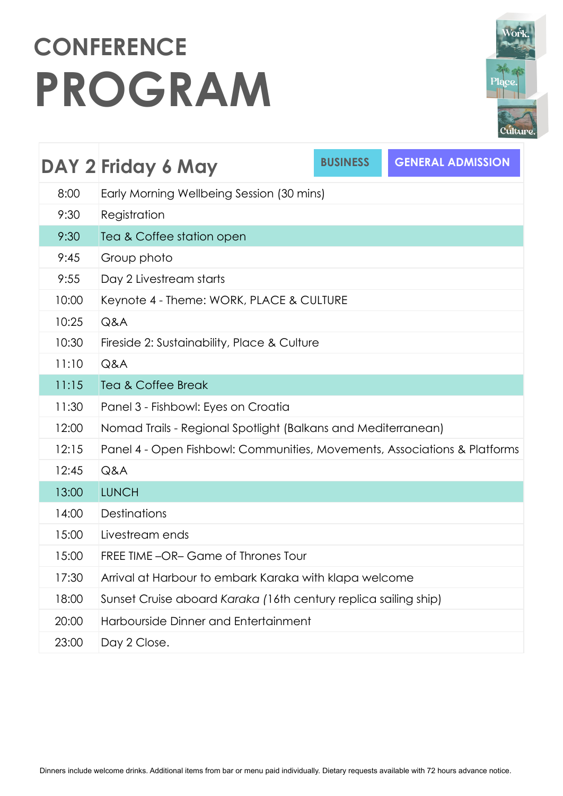|        | Work.   |  |
|--------|---------|--|
| Plące. |         |  |
|        | Culture |  |

|       | DAY 2 Friday 6 May                                                        | <b>BUSINESS</b> | <b>GENERAL ADMISSION</b> |  |
|-------|---------------------------------------------------------------------------|-----------------|--------------------------|--|
| 8:00  | Early Morning Wellbeing Session (30 mins)                                 |                 |                          |  |
| 9:30  | Registration                                                              |                 |                          |  |
| 9:30  | Tea & Coffee station open                                                 |                 |                          |  |
| 9:45  | Group photo                                                               |                 |                          |  |
| 9:55  | Day 2 Livestream starts                                                   |                 |                          |  |
| 10:00 | Keynote 4 - Theme: WORK, PLACE & CULTURE                                  |                 |                          |  |
| 10:25 | Q&A                                                                       |                 |                          |  |
| 10:30 | Fireside 2: Sustainability, Place & Culture                               |                 |                          |  |
| 11:10 | Q&A                                                                       |                 |                          |  |
| 11:15 | <b>Tea &amp; Coffee Break</b>                                             |                 |                          |  |
| 11:30 | Panel 3 - Fishbowl: Eyes on Croatia                                       |                 |                          |  |
| 12:00 | Nomad Trails - Regional Spotlight (Balkans and Mediterranean)             |                 |                          |  |
| 12:15 | Panel 4 - Open Fishbowl: Communities, Movements, Associations & Platforms |                 |                          |  |
| 12:45 | Q&A                                                                       |                 |                          |  |
| 13:00 | <b>LUNCH</b>                                                              |                 |                          |  |
| 14:00 | Destinations                                                              |                 |                          |  |
| 15:00 | Livestream ends                                                           |                 |                          |  |
| 15:00 | FREE TIME -OR- Game of Thrones Tour                                       |                 |                          |  |
| 17:30 | Arrival at Harbour to embark Karaka with klapa welcome                    |                 |                          |  |
| 18:00 | Sunset Cruise aboard Karaka (16th century replica sailing ship)           |                 |                          |  |
| 20:00 | Harbourside Dinner and Entertainment                                      |                 |                          |  |
| 23:00 | Day 2 Close.                                                              |                 |                          |  |